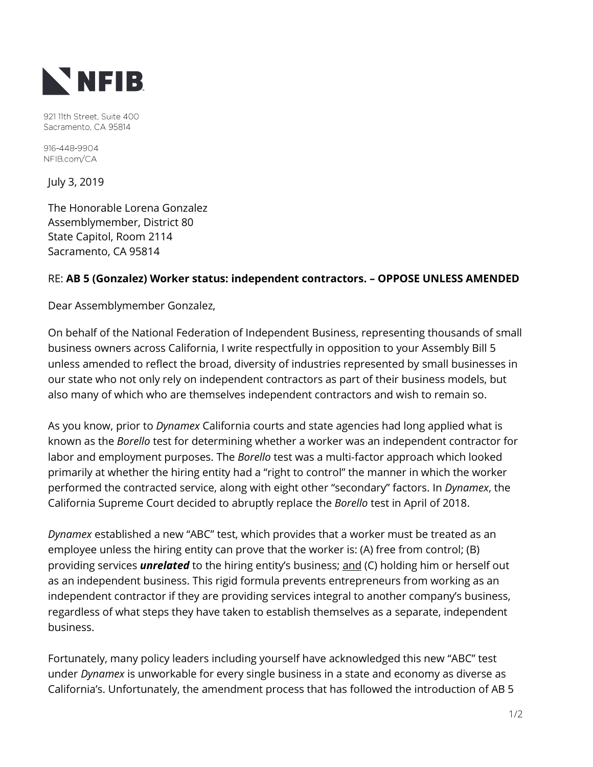

921 11th Street, Suite 400 Sacramento, CA 95814

916-448-9904 NFIB.com/CA

July 3, 2019

The Honorable Lorena Gonzalez Assemblymember, District 80 State Capitol, Room 2114 Sacramento, CA 95814

## RE: **AB 5 (Gonzalez) Worker status: independent contractors. – OPPOSE UNLESS AMENDED**

Dear Assemblymember Gonzalez,

On behalf of the National Federation of Independent Business, representing thousands of small business owners across California, I write respectfully in opposition to your Assembly Bill 5 unless amended to reflect the broad, diversity of industries represented by small businesses in our state who not only rely on independent contractors as part of their business models, but also many of which who are themselves independent contractors and wish to remain so.

As you know, prior to *Dynamex* California courts and state agencies had long applied what is known as the *Borello* test for determining whether a worker was an independent contractor for labor and employment purposes. The *Borello* test was a multi-factor approach which looked primarily at whether the hiring entity had a "right to control" the manner in which the worker performed the contracted service, along with eight other "secondary" factors. In *Dynamex*, the California Supreme Court decided to abruptly replace the *Borello* test in April of 2018.

*Dynamex* established a new "ABC" test, which provides that a worker must be treated as an employee unless the hiring entity can prove that the worker is: (A) free from control; (B) providing services *unrelated* to the hiring entity's business; and (C) holding him or herself out as an independent business. This rigid formula prevents entrepreneurs from working as an independent contractor if they are providing services integral to another company's business, regardless of what steps they have taken to establish themselves as a separate, independent business.

Fortunately, many policy leaders including yourself have acknowledged this new "ABC" test under *Dynamex* is unworkable for every single business in a state and economy as diverse as California's. Unfortunately, the amendment process that has followed the introduction of AB 5